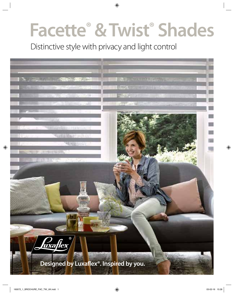# **Facette® & Twist® Shades**

◈

Distinctive style with privacy and light control



◈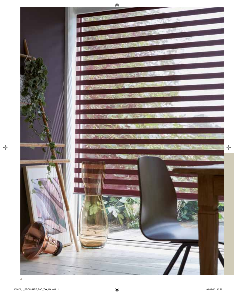

 $\bigoplus$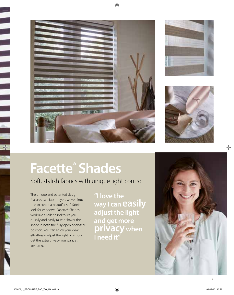◈

| <b>Kertill</b><br>1970<br><b>CAT</b>                                                                                                                                 |                                                                                      |  |
|----------------------------------------------------------------------------------------------------------------------------------------------------------------------|--------------------------------------------------------------------------------------|--|
| <b>The Williams De Toy of</b><br><b>PASSE MERU</b> I<br><b>Back of the Control of the Control</b><br><b>THE READY OF</b><br><b>CANNO CAN IT</b><br><b>STATISTICS</b> | <b>STANDARD</b><br><b>CARD WALLER CO.</b><br>824<br><b>Weighter</b><br><b>PURCHE</b> |  |
|                                                                                                                                                                      | <b>SALE OF BUILDING</b>                                                              |  |





### **Facette® Shades**

Soft, stylish fabrics with unique light control

The unique and patented design features two fabric layers woven into one to create a beautiful soft fabric look for windows. Facette® Shades work like a roller blind to let you quickly and easily raise or lower the shade in both the fully open or closed position. You can enjoy your view, effortlessly adjust the light or simply get the extra privacy you want at any time.

**"I love the way I can easily adjust the light and get more privacy when I need it"**



 $\bigcirc$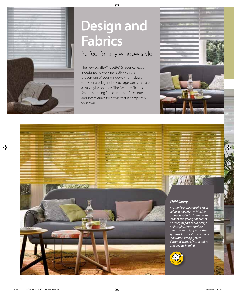

## **Design and Fabrics**

 $\bigcirc$ 

### Perfect for any window style

The new Luxaflex® Facette® Shades collection is designed to work perfectly with the proportions of your windows - from ultra slim vanes for an elegant look to large vanes that are a truly stylish solution. The Facette® Shades feature stunning fabrics in beautiful colours and soft textures for a style that is completely your own.





#### *Child Safety*

314

*At Luxaflex® we consider child safety a top priority. Making products safer for homes with infants and young children is an integral part of our design philosophy. From cordless alternatives to fully motorised systems, Luxaflex® offers many innovative lifting systems designed with safety, comfort and beauty in mind.*



 $\bigoplus$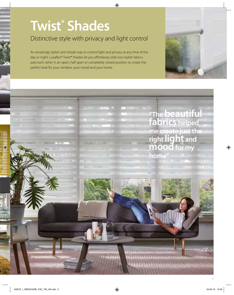# **Twist® Shades**

### Distinctive style with privacy and light control

 $\bigoplus$ 

An amazingly stylish and simple way to control light and privacy at any time of the day or night. Luxaflex® Twist® Shades let you effortlessly slide two stylish fabrics past each other in an open, half open or completely closed position to create the perfect look for your window, your mood and your home.





◈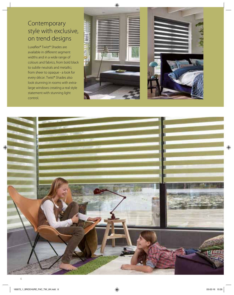### Contemporary style with exclusive, on trend designs

Luxaflex® Twist® Shades are available in different segment widths and in a wide range of colours and fabrics, from bold black to subtle neutrals and metallic; from sheer to opaque - a look for every décor. Twist® Shades also look stunning in rooms with extralarge windows creating a real style statement with stunning light control.



 $\bigoplus$ 



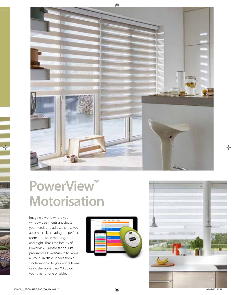

# **PowerView™ Motorisation**

Imagine a world where your window treatments anticipate your needs and adjust themselves automatically, creating the perfect room ambiance morning, noon and night. That's the beauty of PowerView™ Motorisation. Just programme PowerView™ to move all your Luxaflex® shades from a single window to your entire home using the PowerView™ App on your smartphone or tablet.





 $\bigcirc$ 

 $\bigcirc$